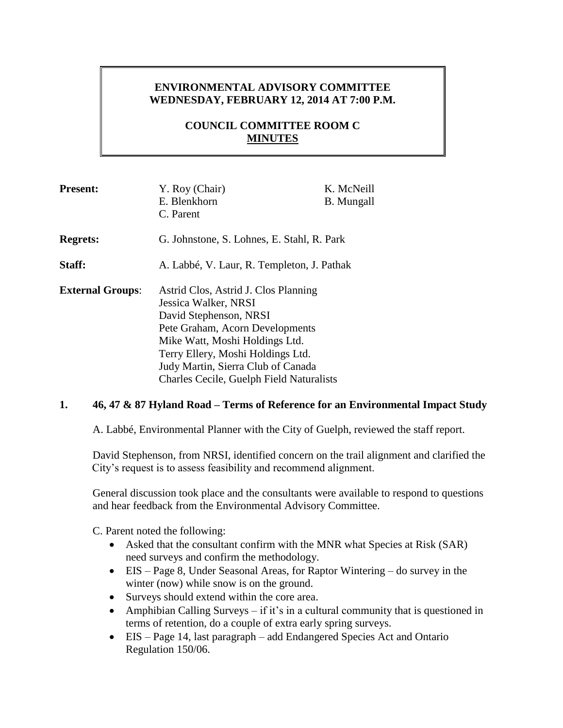## **ENVIRONMENTAL ADVISORY COMMITTEE WEDNESDAY, FEBRUARY 12, 2014 AT 7:00 P.M.**

## **COUNCIL COMMITTEE ROOM C MINUTES**

| <b>Present:</b>         | Y. Roy (Chair)<br>E. Blenkhorn<br>C. Parent                                                                                                                                                                                                                                               | K. McNeill<br><b>B.</b> Mungall |
|-------------------------|-------------------------------------------------------------------------------------------------------------------------------------------------------------------------------------------------------------------------------------------------------------------------------------------|---------------------------------|
| <b>Regrets:</b>         | G. Johnstone, S. Lohnes, E. Stahl, R. Park                                                                                                                                                                                                                                                |                                 |
| Staff:                  | A. Labbé, V. Laur, R. Templeton, J. Pathak                                                                                                                                                                                                                                                |                                 |
| <b>External Groups:</b> | Astrid Clos, Astrid J. Clos Planning<br>Jessica Walker, NRSI<br>David Stephenson, NRSI<br>Pete Graham, Acorn Developments<br>Mike Watt, Moshi Holdings Ltd.<br>Terry Ellery, Moshi Holdings Ltd.<br>Judy Martin, Sierra Club of Canada<br><b>Charles Cecile, Guelph Field Naturalists</b> |                                 |

### **1. 46, 47 & 87 Hyland Road – Terms of Reference for an Environmental Impact Study**

A. Labbé, Environmental Planner with the City of Guelph, reviewed the staff report.

David Stephenson, from NRSI, identified concern on the trail alignment and clarified the City's request is to assess feasibility and recommend alignment.

General discussion took place and the consultants were available to respond to questions and hear feedback from the Environmental Advisory Committee.

C. Parent noted the following:

- Asked that the consultant confirm with the MNR what Species at Risk (SAR) need surveys and confirm the methodology.
- EIS Page 8, Under Seasonal Areas, for Raptor Wintering do survey in the winter (now) while snow is on the ground.
- Surveys should extend within the core area.
- Amphibian Calling Surveys if it's in a cultural community that is questioned in terms of retention, do a couple of extra early spring surveys.
- EIS Page 14, last paragraph add Endangered Species Act and Ontario Regulation 150/06.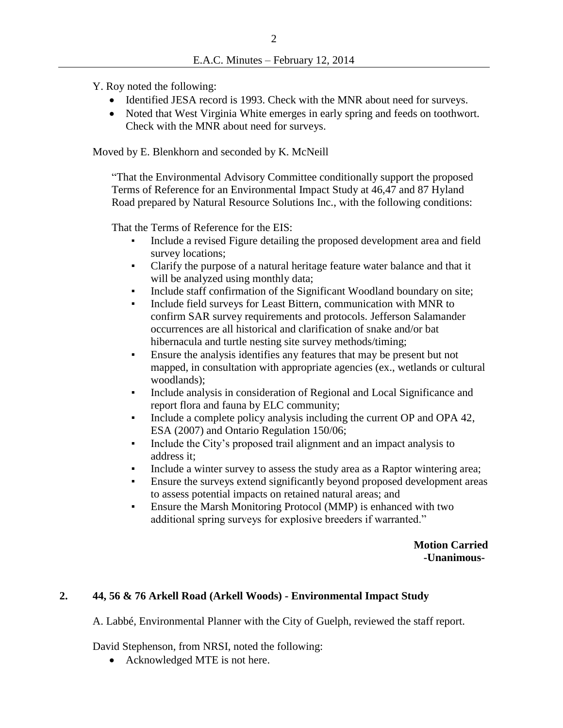Y. Roy noted the following:

- Identified JESA record is 1993. Check with the MNR about need for surveys.
- Noted that West Virginia White emerges in early spring and feeds on toothwort. Check with the MNR about need for surveys.

Moved by E. Blenkhorn and seconded by K. McNeill

"That the Environmental Advisory Committee conditionally support the proposed Terms of Reference for an Environmental Impact Study at 46,47 and 87 Hyland Road prepared by Natural Resource Solutions Inc., with the following conditions:

That the Terms of Reference for the EIS:

- Include a revised Figure detailing the proposed development area and field survey locations;
- Clarify the purpose of a natural heritage feature water balance and that it will be analyzed using monthly data;
- Include staff confirmation of the Significant Woodland boundary on site;
- Include field surveys for Least Bittern, communication with MNR to confirm SAR survey requirements and protocols. Jefferson Salamander occurrences are all historical and clarification of snake and/or bat hibernacula and turtle nesting site survey methods/timing;
- Ensure the analysis identifies any features that may be present but not mapped, in consultation with appropriate agencies (ex., wetlands or cultural woodlands);
- Include analysis in consideration of Regional and Local Significance and report flora and fauna by ELC community;
- Include a complete policy analysis including the current OP and OPA 42, ESA (2007) and Ontario Regulation 150/06;
- Include the City's proposed trail alignment and an impact analysis to address it;
- Include a winter survey to assess the study area as a Raptor wintering area;
- Ensure the surveys extend significantly beyond proposed development areas to assess potential impacts on retained natural areas; and
- Ensure the Marsh Monitoring Protocol (MMP) is enhanced with two additional spring surveys for explosive breeders if warranted."

 **Motion Carried -Unanimous-**

### **2. 44, 56 & 76 Arkell Road (Arkell Woods) - Environmental Impact Study**

A. Labbé, Environmental Planner with the City of Guelph, reviewed the staff report.

David Stephenson, from NRSI, noted the following:

• Acknowledged MTE is not here.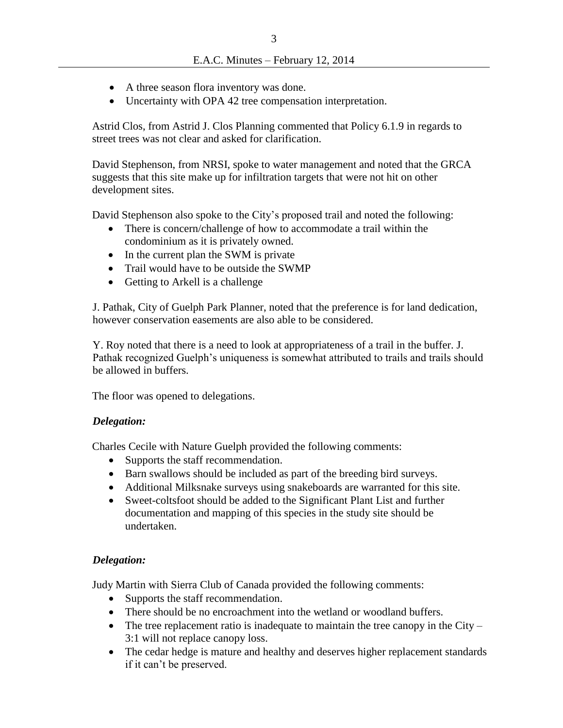- A three season flora inventory was done.
- Uncertainty with OPA 42 tree compensation interpretation.

Astrid Clos, from Astrid J. Clos Planning commented that Policy 6.1.9 in regards to street trees was not clear and asked for clarification.

David Stephenson, from NRSI, spoke to water management and noted that the GRCA suggests that this site make up for infiltration targets that were not hit on other development sites.

David Stephenson also spoke to the City's proposed trail and noted the following:

- There is concern/challenge of how to accommodate a trail within the condominium as it is privately owned.
- In the current plan the SWM is private
- Trail would have to be outside the SWMP
- Getting to Arkell is a challenge

J. Pathak, City of Guelph Park Planner, noted that the preference is for land dedication, however conservation easements are also able to be considered.

Y. Roy noted that there is a need to look at appropriateness of a trail in the buffer. J. Pathak recognized Guelph's uniqueness is somewhat attributed to trails and trails should be allowed in buffers.

The floor was opened to delegations.

#### *Delegation:*

Charles Cecile with Nature Guelph provided the following comments:

- Supports the staff recommendation.
- Barn swallows should be included as part of the breeding bird surveys.
- Additional Milksnake surveys using snakeboards are warranted for this site.
- Sweet-coltsfoot should be added to the Significant Plant List and further documentation and mapping of this species in the study site should be undertaken.

#### *Delegation:*

Judy Martin with Sierra Club of Canada provided the following comments:

- Supports the staff recommendation.
- There should be no encroachment into the wetland or woodland buffers.
- The tree replacement ratio is inadequate to maintain the tree canopy in the City 3:1 will not replace canopy loss.
- The cedar hedge is mature and healthy and deserves higher replacement standards if it can't be preserved.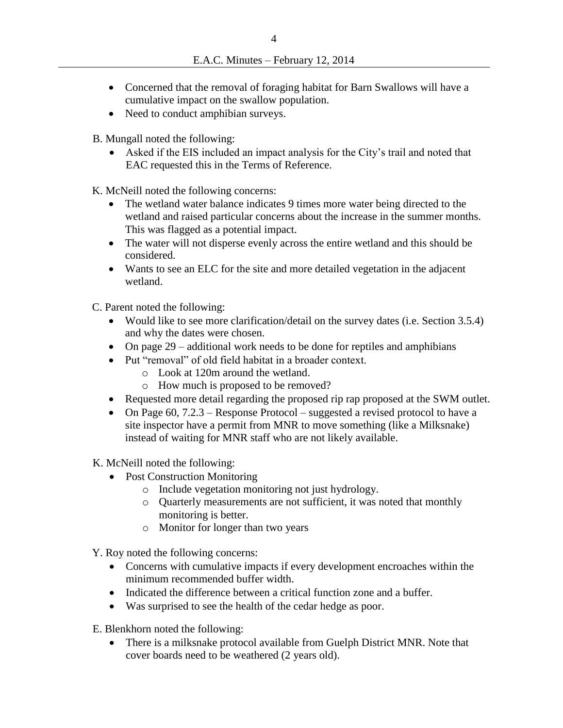- Concerned that the removal of foraging habitat for Barn Swallows will have a cumulative impact on the swallow population.
- Need to conduct amphibian surveys.

B. Mungall noted the following:

 Asked if the EIS included an impact analysis for the City's trail and noted that EAC requested this in the Terms of Reference.

K. McNeill noted the following concerns:

- The wetland water balance indicates 9 times more water being directed to the wetland and raised particular concerns about the increase in the summer months. This was flagged as a potential impact.
- The water will not disperse evenly across the entire wetland and this should be considered.
- Wants to see an ELC for the site and more detailed vegetation in the adjacent wetland.

C. Parent noted the following:

- Would like to see more clarification/detail on the survey dates (i.e. Section 3.5.4) and why the dates were chosen.
- On page  $29$  additional work needs to be done for reptiles and amphibians
- Put "removal" of old field habitat in a broader context.
	- o Look at 120m around the wetland.
	- o How much is proposed to be removed?
- Requested more detail regarding the proposed rip rap proposed at the SWM outlet.
- On Page 60, 7.2.3 Response Protocol suggested a revised protocol to have a site inspector have a permit from MNR to move something (like a Milksnake) instead of waiting for MNR staff who are not likely available.

K. McNeill noted the following:

- Post Construction Monitoring
	- o Include vegetation monitoring not just hydrology.
	- o Quarterly measurements are not sufficient, it was noted that monthly monitoring is better.
	- o Monitor for longer than two years

Y. Roy noted the following concerns:

- Concerns with cumulative impacts if every development encroaches within the minimum recommended buffer width.
- Indicated the difference between a critical function zone and a buffer.
- Was surprised to see the health of the cedar hedge as poor.

E. Blenkhorn noted the following:

 There is a milksnake protocol available from Guelph District MNR. Note that cover boards need to be weathered (2 years old).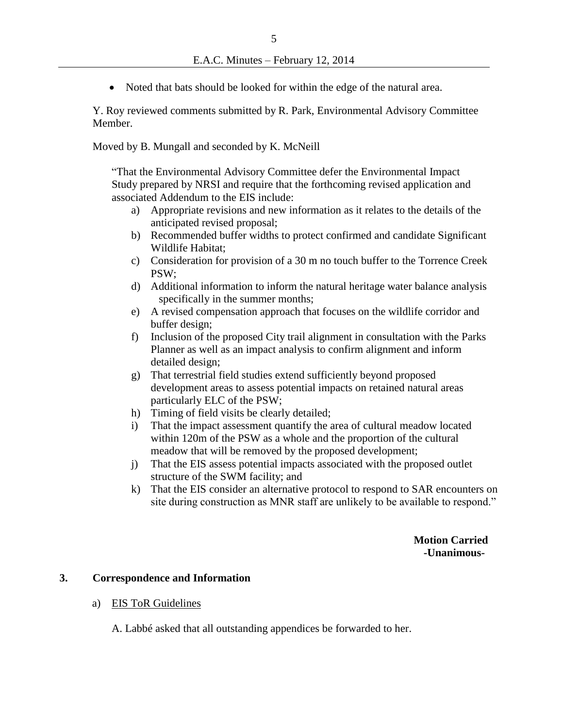• Noted that bats should be looked for within the edge of the natural area.

Y. Roy reviewed comments submitted by R. Park, Environmental Advisory Committee Member.

Moved by B. Mungall and seconded by K. McNeill

"That the Environmental Advisory Committee defer the Environmental Impact Study prepared by NRSI and require that the forthcoming revised application and associated Addendum to the EIS include:

- a) Appropriate revisions and new information as it relates to the details of the anticipated revised proposal;
- b) Recommended buffer widths to protect confirmed and candidate Significant Wildlife Habitat;
- c) Consideration for provision of a 30 m no touch buffer to the Torrence Creek PSW;
- d) Additional information to inform the natural heritage water balance analysis specifically in the summer months;
- e) A revised compensation approach that focuses on the wildlife corridor and buffer design;
- f) Inclusion of the proposed City trail alignment in consultation with the Parks Planner as well as an impact analysis to confirm alignment and inform detailed design;
- g) That terrestrial field studies extend sufficiently beyond proposed development areas to assess potential impacts on retained natural areas particularly ELC of the PSW;
- h) Timing of field visits be clearly detailed;
- i) That the impact assessment quantify the area of cultural meadow located within 120m of the PSW as a whole and the proportion of the cultural meadow that will be removed by the proposed development;
- j) That the EIS assess potential impacts associated with the proposed outlet structure of the SWM facility; and
- k) That the EIS consider an alternative protocol to respond to SAR encounters on site during construction as MNR staff are unlikely to be available to respond."

 **Motion Carried -Unanimous-**

#### **3. Correspondence and Information**

a) EIS ToR Guidelines

A. Labbé asked that all outstanding appendices be forwarded to her.